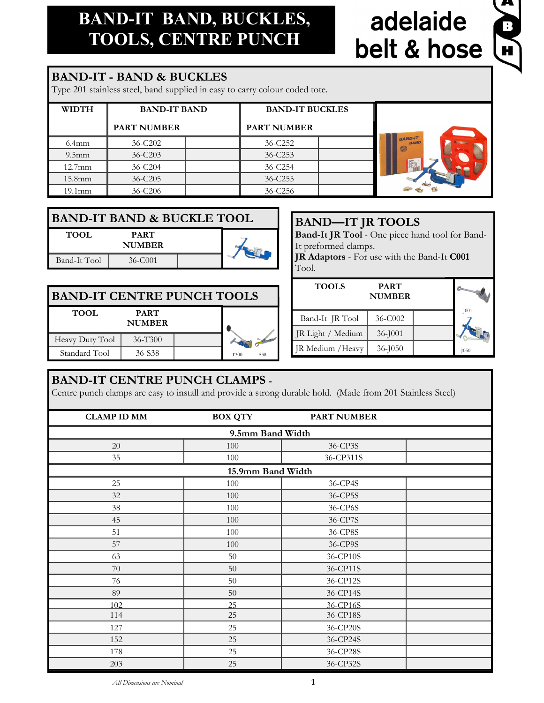# **BAND-IT BAND, BUCKLES, TOOLS, CENTRE PUNCH**

# adelaide belt & hose



### **BAND-IT - BAND & BUCKLES**

Type 201 stainless steel, band supplied in easy to carry colour coded tote.

| <b>WIDTH</b>       | <b>BAND-IT BAND</b> | <b>BAND-IT BUCKLES</b> |                                     |
|--------------------|---------------------|------------------------|-------------------------------------|
|                    |                     |                        |                                     |
|                    | <b>PART NUMBER</b>  | <b>PART NUMBER</b>     |                                     |
| $6.4$ mm           | $36 - C202$         | 36-C252                | <b>BAND-IT</b><br><b>BAND</b><br>57 |
| $9.5$ mm           | $36 - C203$         | $36 - C253$            |                                     |
| $12.7$ mm          | $36 - C204$         | 36-C254                |                                     |
| 15.8 <sub>mm</sub> | $36 - C205$         | 36-C255                |                                     |
| 19.1 <sub>mm</sub> | 36-C206             | 36-C256                |                                     |

| <b>BAND-IT BAND &amp; BUCKLE TOOL</b> |                              |  |  |  |
|---------------------------------------|------------------------------|--|--|--|
| TOOL.                                 | <b>PART</b><br><b>NUMBER</b> |  |  |  |
| Band-It Tool                          | 36-C001                      |  |  |  |

| <b>BAND-IT JR TOOLS</b>                                   |
|-----------------------------------------------------------|
| Band-It JR Tool - One piece hand tool for Band-           |
| It preformed clamps.                                      |
| <b>JR Adaptors</b> - For use with the Band-It <b>C001</b> |
| Tool.                                                     |
|                                                           |

| <b>BAND-IT CENTRE PUNCH TOOLS</b> |                              |  |             |  |
|-----------------------------------|------------------------------|--|-------------|--|
| <b>TOOL</b>                       | <b>PART</b><br><b>NUMBER</b> |  |             |  |
| Heavy Duty Tool                   | 36-T300                      |  |             |  |
| Standard Tool                     | 36-S38                       |  | T300<br>S38 |  |

#### **TOOLS PART NUMBER** Band-It JR Tool 36-C002 JR Light / Medium 36-J001 JR Medium / Heavy  $36$ -J050 J001 J050

### **BAND-IT CENTRE PUNCH CLAMPS -**

Centre punch clamps are easy to install and provide a strong durable hold. (Made from 201 Stainless Steel)

| <b>CLAMP ID MM</b> | <b>BOX QTY</b>    | <b>PART NUMBER</b> |  |  |
|--------------------|-------------------|--------------------|--|--|
| 9.5mm Band Width   |                   |                    |  |  |
| 20                 | 100               | 36-CP3S            |  |  |
| 35                 | 100               | 36-CP311S          |  |  |
|                    | 15.9mm Band Width |                    |  |  |
| 25                 | 100               | 36-CP4S            |  |  |
| 32                 | 100               | 36-CP5S            |  |  |
| 38                 | 100               | 36-CP6S            |  |  |
| 45                 | 100               | 36-CP7S            |  |  |
| 51                 | 100               | 36-CP8S            |  |  |
| 57                 | 100               | 36-CP9S            |  |  |
| 63                 | 50                | 36-CP10S           |  |  |
| 70                 | $50\,$            | 36-CP11S           |  |  |
| 76                 | $50\,$            | 36-CP12S           |  |  |
| 89                 | $50\,$            | 36-CP14S           |  |  |
| 102                | 25                | 36-CP16S           |  |  |
| 114                | 25                | 36-CP18S           |  |  |
| 127                | 25                | 36-CP20S           |  |  |
| 152                | 25                | 36-CP24S           |  |  |
| 178                | 25                | 36-CP28S           |  |  |
| 203                | 25                | 36-CP32S           |  |  |